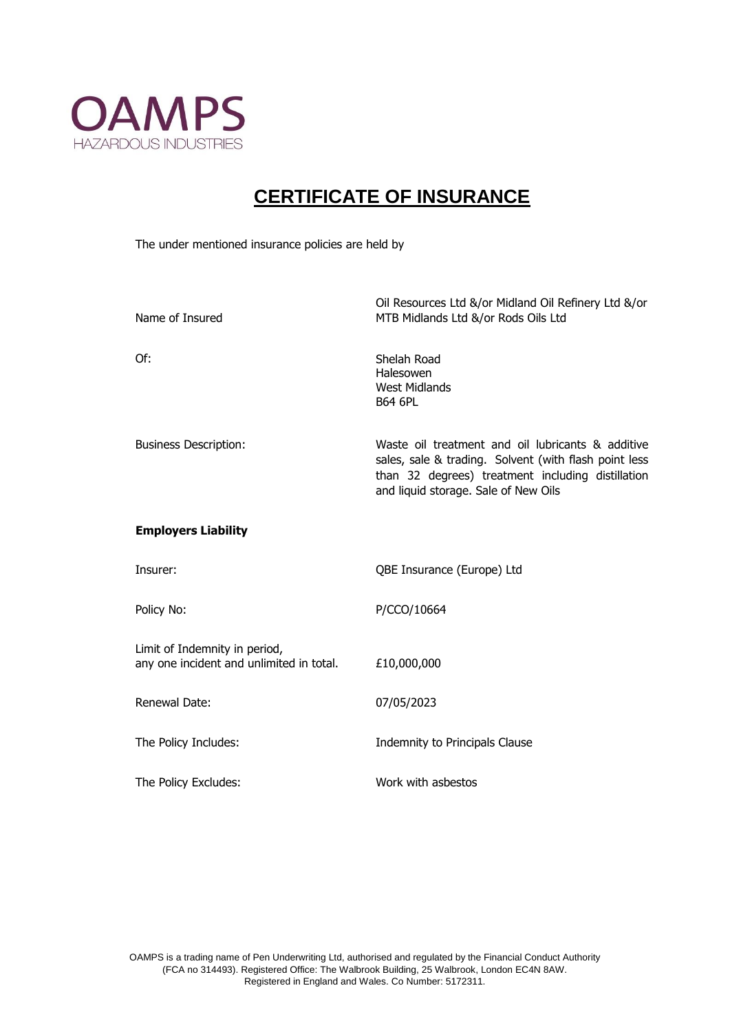

## **CERTIFICATE OF INSURANCE**

The under mentioned insurance policies are held by

| Name of Insured                                                           | Oil Resources Ltd &/or Midland Oil Refinery Ltd &/or<br>MTB Midlands Ltd &/or Rods Oils Ltd                                                                                                             |
|---------------------------------------------------------------------------|---------------------------------------------------------------------------------------------------------------------------------------------------------------------------------------------------------|
| Of:                                                                       | Shelah Road<br>Halesowen<br>West Midlands<br><b>B64 6PL</b>                                                                                                                                             |
| <b>Business Description:</b>                                              | Waste oil treatment and oil lubricants & additive<br>sales, sale & trading. Solvent (with flash point less<br>than 32 degrees) treatment including distillation<br>and liquid storage. Sale of New Oils |
| <b>Employers Liability</b>                                                |                                                                                                                                                                                                         |
| Insurer:                                                                  | QBE Insurance (Europe) Ltd                                                                                                                                                                              |
| Policy No:                                                                | P/CCO/10664                                                                                                                                                                                             |
| Limit of Indemnity in period,<br>any one incident and unlimited in total. | £10,000,000                                                                                                                                                                                             |
| Renewal Date:                                                             | 07/05/2023                                                                                                                                                                                              |
| The Policy Includes:                                                      | Indemnity to Principals Clause                                                                                                                                                                          |
| The Policy Excludes:                                                      | Work with asbestos                                                                                                                                                                                      |